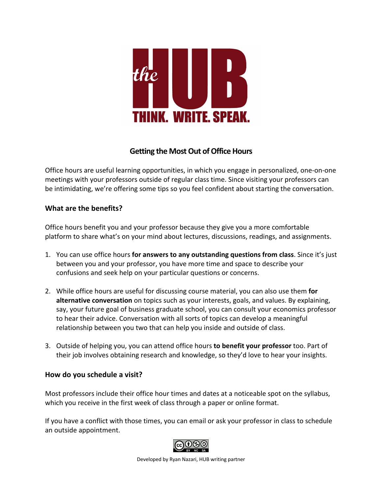

# **Getting the Most Out of Office Hours**

Office hours are useful learning opportunities, in which you engage in personalized, one-on-one meetings with your professors outside of regular class time. Since visiting your professors can be intimidating, we're offering some tips so you feel confident about starting the conversation.

### **What are the benefits?**

Office hours benefit you and your professor because they give you a more comfortable platform to share what's on your mind about lectures, discussions, readings, and assignments.

- 1. You can use office hours **for answers to any outstanding questions from class**. Since it's just between you and your professor, you have more time and space to describe your confusions and seek help on your particular questions or concerns.
- 2. While office hours are useful for discussing course material, you can also use them **for alternative conversation** on topics such as your interests, goals, and values. By explaining, say, your future goal of business graduate school, you can consult your economics professor to hear their advice. Conversation with all sorts of topics can develop a meaningful relationship between you two that can help you inside and outside of class.
- 3. Outside of helping you, you can attend office hours **to benefit your professor** too. Part of their job involves obtaining research and knowledge, so they'd love to hear your insights.

### **How do you schedule a visit?**

Most professors include their office hour times and dates at a noticeable spot on the syllabus, which you receive in the first week of class through a paper or online format.

If you have a conflict with those times, you can email or ask your professor in class to schedule an outside appointment.



Developed by Ryan Nazari, HUB writing partner